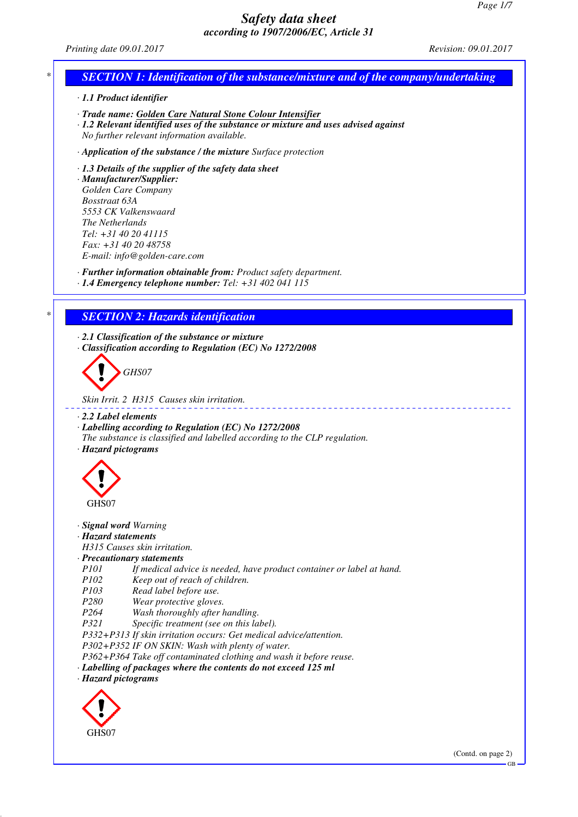*Printing date 09.01.2017 Revision: 09.01.2017*

# *\* SECTION 1: Identification of the substance/mixture and of the company/undertaking*

*· 1.1 Product identifier*

- *· Trade name: Golden Care Natural Stone Colour Intensifier*
- *· 1.2 Relevant identified uses of the substance or mixture and uses advised against No further relevant information available.*
- *· Application of the substance / the mixture Surface protection*
- *· 1.3 Details of the supplier of the safety data sheet*

*· Manufacturer/Supplier: Golden Care Company Bosstraat 63A 5553 CK Valkenswaard The Netherlands Tel: +31 40 20 41115 Fax: +31 40 20 48758 E-mail: info@golden-care.com*

*· Further information obtainable from: Product safety department.*

*· 1.4 Emergency telephone number: Tel: +31 402 041 115*

# *\* SECTION 2: Hazards identification*

*· 2.1 Classification of the substance or mixture · Classification according to Regulation (EC) No 1272/2008*



*Skin Irrit. 2 H315 Causes skin irritation.*

- *· 2.2 Label elements*
- *· Labelling according to Regulation (EC) No 1272/2008*
- *The substance is classified and labelled according to the CLP regulation. · Hazard pictograms*



- *· Signal word Warning*
- *· Hazard statements*

*H315 Causes skin irritation.*

### *· Precautionary statements*

- *P101 If medical advice is needed, have product container or label at hand.*
- *P102 Keep out of reach of children.*
- *P103 Read label before use.*
- *P280 Wear protective gloves.*
- *P264 Wash thoroughly after handling.*
- *P321 Specific treatment (see on this label).*
- *P332+P313 If skin irritation occurs: Get medical advice/attention.*

*P302+P352 IF ON SKIN: Wash with plenty of water.*

*P362+P364 Take off contaminated clothing and wash it before reuse.*

*· Labelling of packages where the contents do not exceed 125 ml*

*· Hazard pictograms*

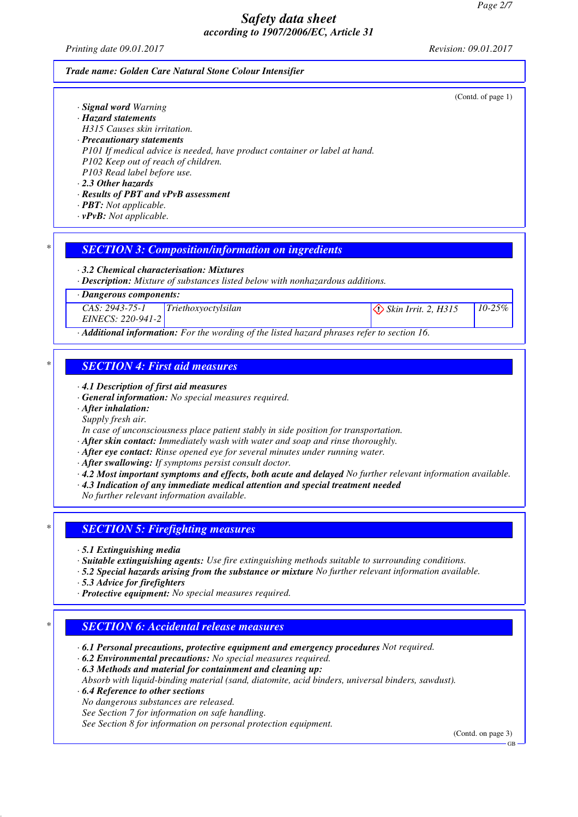*Printing date 09.01.2017 Revision: 09.01.2017*

(Contd. of page 1)

#### *Trade name: Golden Care Natural Stone Colour Intensifier*

|  |  |  | · Signal word Warning |  |
|--|--|--|-----------------------|--|
|--|--|--|-----------------------|--|

- *· Hazard statements*
- *H315 Causes skin irritation.*
- *· Precautionary statements*
- *P101 If medical advice is needed, have product container or label at hand.*
- *P102 Keep out of reach of children. P103 Read label before use.*
- *· 2.3 Other hazards*
- *· Results of PBT and vPvB assessment*
- *· PBT: Not applicable.*
- *· vPvB: Not applicable.*

# *\* SECTION 3: Composition/information on ingredients*

# *· 3.2 Chemical characterisation: Mixtures*

*· Description: Mixture of substances listed below with nonhazardous additions.*

*· Dangerous components:*

*CAS: 2943-75-1 EINECS: 220-941-2*

*Triethoxyoctylsilan Skin Irrit. 2, H315 10-25%*

*· Additional information: For the wording of the listed hazard phrases refer to section 16.*

# *\* SECTION 4: First aid measures*

- *· 4.1 Description of first aid measures*
- *· General information: No special measures required.*
- *· After inhalation:*
- *Supply fresh air.*
- *In case of unconsciousness place patient stably in side position for transportation.*
- *· After skin contact: Immediately wash with water and soap and rinse thoroughly.*
- *· After eye contact: Rinse opened eye for several minutes under running water.*
- *· After swallowing: If symptoms persist consult doctor.*
- *· 4.2 Most important symptoms and effects, both acute and delayed No further relevant information available.*
- *· 4.3 Indication of any immediate medical attention and special treatment needed*

*No further relevant information available.*

# *\* SECTION 5: Firefighting measures*

- *· 5.1 Extinguishing media*
- *· Suitable extinguishing agents: Use fire extinguishing methods suitable to surrounding conditions.*
- *· 5.2 Special hazards arising from the substance or mixture No further relevant information available.*
- *· 5.3 Advice for firefighters*
- *· Protective equipment: No special measures required.*

# *\* SECTION 6: Accidental release measures*

- *· 6.1 Personal precautions, protective equipment and emergency procedures Not required.*
- *· 6.2 Environmental precautions: No special measures required.*
- *· 6.3 Methods and material for containment and cleaning up:*
- *Absorb with liquid-binding material (sand, diatomite, acid binders, universal binders, sawdust).*
- *· 6.4 Reference to other sections*
- *No dangerous substances are released.*
- *See Section 7 for information on safe handling.*
- *See Section 8 for information on personal protection equipment.*

(Contd. on page 3)

GB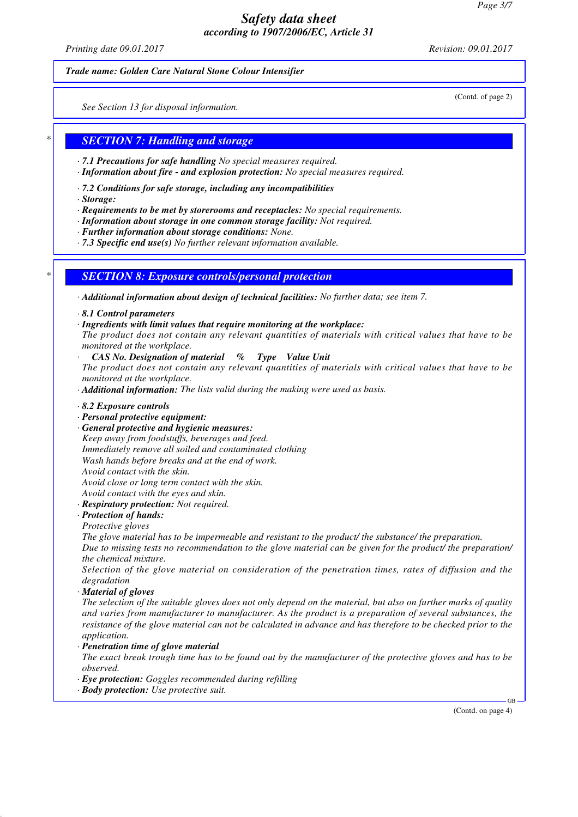*Printing date 09.01.2017 Revision: 09.01.2017*

(Contd. of page 2)

#### *Trade name: Golden Care Natural Stone Colour Intensifier*

*See Section 13 for disposal information.*

## *\* SECTION 7: Handling and storage*

- *· 7.1 Precautions for safe handling No special measures required.*
- *· Information about fire and explosion protection: No special measures required.*
- *· 7.2 Conditions for safe storage, including any incompatibilities*
- *· Storage:*
- *· Requirements to be met by storerooms and receptacles: No special requirements.*
- *· Information about storage in one common storage facility: Not required.*
- *· Further information about storage conditions: None.*
- *· 7.3 Specific end use(s) No further relevant information available.*

## *\* SECTION 8: Exposure controls/personal protection*

*· Additional information about design of technical facilities: No further data; see item 7.*

- *· 8.1 Control parameters*
- *· Ingredients with limit values that require monitoring at the workplace:*
- *The product does not contain any relevant quantities of materials with critical values that have to be monitored at the workplace.*
- *· CAS No. Designation of material % Type Value Unit*
- *The product does not contain any relevant quantities of materials with critical values that have to be monitored at the workplace.*
- *· Additional information: The lists valid during the making were used as basis.*
- *· 8.2 Exposure controls*
- *· Personal protective equipment:*
- *· General protective and hygienic measures: Keep away from foodstuffs, beverages and feed. Immediately remove all soiled and contaminated clothing Wash hands before breaks and at the end of work. Avoid contact with the skin. Avoid close or long term contact with the skin. Avoid contact with the eyes and skin.*
- *· Respiratory protection: Not required.*

# *· Protection of hands:*

*Protective gloves*

*The glove material has to be impermeable and resistant to the product/ the substance/ the preparation. Due to missing tests no recommendation to the glove material can be given for the product/ the preparation/ the chemical mixture.*

*Selection of the glove material on consideration of the penetration times, rates of diffusion and the degradation*

*· Material of gloves*

*The selection of the suitable gloves does not only depend on the material, but also on further marks of quality and varies from manufacturer to manufacturer. As the product is a preparation of several substances, the resistance of the glove material can not be calculated in advance and has therefore to be checked prior to the application.*

### *· Penetration time of glove material*

*The exact break trough time has to be found out by the manufacturer of the protective gloves and has to be observed.*

- *· Eye protection: Goggles recommended during refilling*
- *· Body protection: Use protective suit.*

(Contd. on page 4)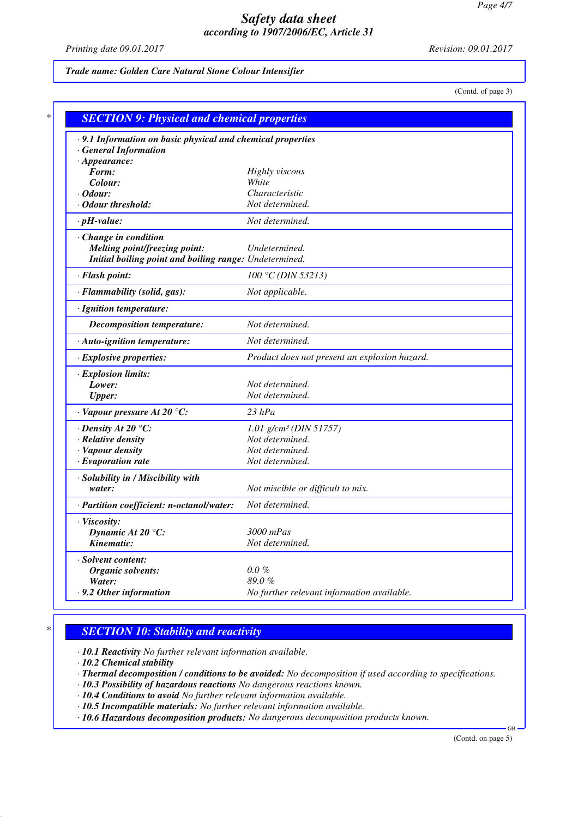*Printing date 09.01.2017 Revision: 09.01.2017*

*Trade name: Golden Care Natural Stone Colour Intensifier*

(Contd. of page 3)

| .9.1 Information on basic physical and chemical properties |                                               |  |  |  |
|------------------------------------------------------------|-----------------------------------------------|--|--|--|
| <b>General Information</b>                                 |                                               |  |  |  |
| $\cdot$ Appearance:                                        |                                               |  |  |  |
| Form:                                                      | Highly viscous                                |  |  |  |
| Colour:                                                    | White                                         |  |  |  |
| $\cdot$ Odour:                                             | Characteristic                                |  |  |  |
| Odour threshold:                                           | Not determined.                               |  |  |  |
| $\cdot$ pH-value:                                          | Not determined.                               |  |  |  |
| Change in condition                                        |                                               |  |  |  |
| <b>Melting point/freezing point:</b>                       | Undetermined.                                 |  |  |  |
| Initial boiling point and boiling range: Undetermined.     |                                               |  |  |  |
| · Flash point:                                             | $100 °C$ (DIN 53213)                          |  |  |  |
| · Flammability (solid, gas):                               | Not applicable.                               |  |  |  |
| · Ignition temperature:                                    |                                               |  |  |  |
| <b>Decomposition temperature:</b>                          | Not determined.                               |  |  |  |
| · Auto-ignition temperature:                               | Not determined.                               |  |  |  |
| · Explosive properties:                                    | Product does not present an explosion hazard. |  |  |  |
| · Explosion limits:                                        |                                               |  |  |  |
| Lower:                                                     | Not determined.                               |  |  |  |
| <b>Upper:</b>                                              | Not determined.                               |  |  |  |
| $\cdot$ Vapour pressure At 20 °C:                          | $23$ $hPa$                                    |  |  |  |
| $\cdot$ Density At 20 $\degree$ C:                         | $1.01$ g/cm <sup>3</sup> (DIN 51757)          |  |  |  |
| · Relative density                                         | Not determined.                               |  |  |  |
| · Vapour density                                           | Not determined.                               |  |  |  |
| $\cdot$ Evaporation rate                                   | Not determined.                               |  |  |  |
| · Solubility in / Miscibility with                         |                                               |  |  |  |
| water:                                                     | Not miscible or difficult to mix.             |  |  |  |
| · Partition coefficient: n-octanol/water:                  | Not determined.                               |  |  |  |
| · Viscosity:                                               |                                               |  |  |  |
| Dynamic At 20 $\degree$ C:                                 | 3000 mPas                                     |  |  |  |
| Kinematic:                                                 | Not determined.                               |  |  |  |
| · Solvent content:                                         |                                               |  |  |  |
| Organic solvents:                                          | $0.0 \%$                                      |  |  |  |
| Water:                                                     | 89.0%                                         |  |  |  |
| .9.2 Other information                                     | No further relevant information available.    |  |  |  |

## *\* SECTION 10: Stability and reactivity*

*· 10.1 Reactivity No further relevant information available.*

*· 10.2 Chemical stability*

- *· Thermal decomposition / conditions to be avoided: No decomposition if used according to specifications.*
- *· 10.3 Possibility of hazardous reactions No dangerous reactions known.*
- *· 10.4 Conditions to avoid No further relevant information available.*
- *· 10.5 Incompatible materials: No further relevant information available.*
- *· 10.6 Hazardous decomposition products: No dangerous decomposition products known.*

(Contd. on page 5)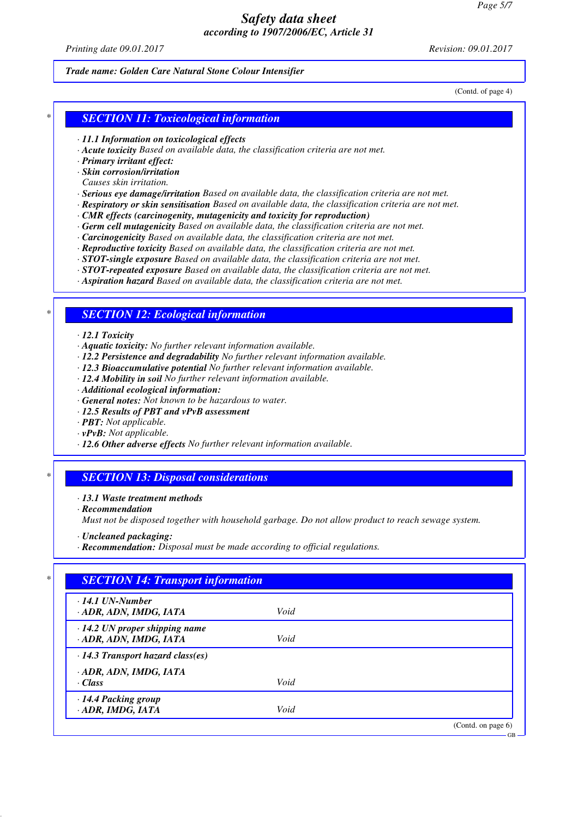*Printing date 09.01.2017 Revision: 09.01.2017*

#### *Trade name: Golden Care Natural Stone Colour Intensifier*

(Contd. of page 4)

## *\* SECTION 11: Toxicological information*

#### *· 11.1 Information on toxicological effects*

- *· Acute toxicity Based on available data, the classification criteria are not met.*
- *· Primary irritant effect:*
- *· Skin corrosion/irritation*
- *Causes skin irritation.*
- *· Serious eye damage/irritation Based on available data, the classification criteria are not met.*
- *· Respiratory or skin sensitisation Based on available data, the classification criteria are not met.*
- *· CMR effects (carcinogenity, mutagenicity and toxicity for reproduction)*
- *· Germ cell mutagenicity Based on available data, the classification criteria are not met.*
- *· Carcinogenicity Based on available data, the classification criteria are not met.*
- *· Reproductive toxicity Based on available data, the classification criteria are not met.*
- *· STOT-single exposure Based on available data, the classification criteria are not met.*
- *· STOT-repeated exposure Based on available data, the classification criteria are not met.*
- *· Aspiration hazard Based on available data, the classification criteria are not met.*

## *\* SECTION 12: Ecological information*

#### *· 12.1 Toxicity*

- *· Aquatic toxicity: No further relevant information available.*
- *· 12.2 Persistence and degradability No further relevant information available.*
- *· 12.3 Bioaccumulative potential No further relevant information available.*
- *· 12.4 Mobility in soil No further relevant information available.*
- *· Additional ecological information:*
- *· General notes: Not known to be hazardous to water.*
- *· 12.5 Results of PBT and vPvB assessment*
- *· PBT: Not applicable.*
- *· vPvB: Not applicable.*
- *· 12.6 Other adverse effects No further relevant information available.*

## *\* SECTION 13: Disposal considerations*

- *· 13.1 Waste treatment methods*
- *· Recommendation*

*Must not be disposed together with household garbage. Do not allow product to reach sewage system.*

- *· Uncleaned packaging:*
- *· Recommendation: Disposal must be made according to official regulations.*

| $\cdot$ 14.1 UN-Number                  |      |  |
|-----------------------------------------|------|--|
| · ADR, ADN, IMDG, IATA                  | Void |  |
| $\cdot$ 14.2 UN proper shipping name    |      |  |
| · ADR, ADN, IMDG, IATA                  | Void |  |
| $\cdot$ 14.3 Transport hazard class(es) |      |  |
| · ADR, ADN, IMDG, IATA                  |      |  |
| $\cdot$ Class                           | Void |  |
| · 14.4 Packing group                    |      |  |
| · ADR, IMDG, IATA                       | Void |  |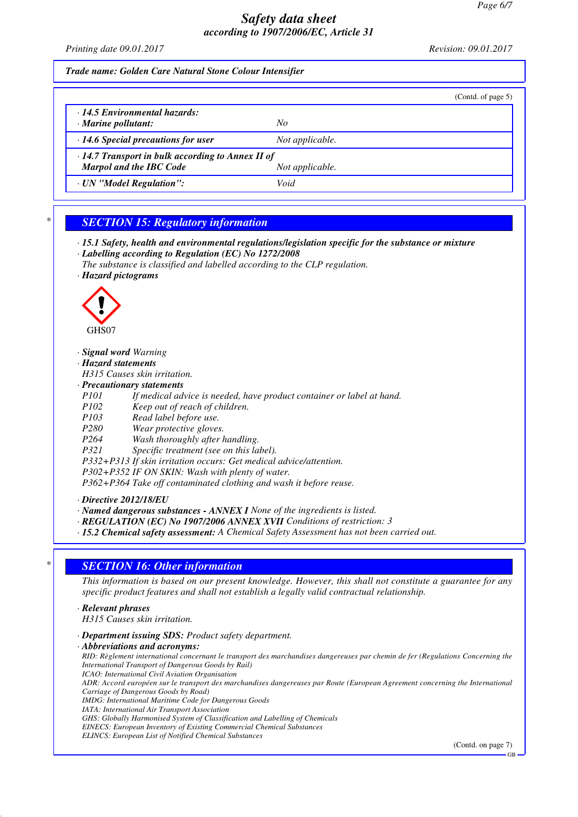*Printing date 09.01.2017 Revision: 09.01.2017*

### *Trade name: Golden Care Natural Stone Colour Intensifier*

|                                                                                                              |                 | (Contd. of page $5$ ) |
|--------------------------------------------------------------------------------------------------------------|-----------------|-----------------------|
| 14.5 Environmental hazards:<br>$\cdot$ Marine pollutant:                                                     | No              |                       |
| $\cdot$ 14.6 Special precautions for user                                                                    | Not applicable. |                       |
| $\cdot$ 14.7 Transport in bulk according to Annex II of<br><b>Marpol and the IBC Code</b><br>Not applicable. |                 |                       |
| · UN "Model Regulation":                                                                                     | Void            |                       |

## *\* SECTION 15: Regulatory information*

- *· 15.1 Safety, health and environmental regulations/legislation specific for the substance or mixture · Labelling according to Regulation (EC) No 1272/2008*
- *The substance is classified and labelled according to the CLP regulation.*
- *· Hazard pictograms*



#### *· Signal word Warning*

*· Hazard statements*

*H315 Causes skin irritation.*

- *· Precautionary statements*
- If medical advice is needed, have product container or label at hand.

*P102 Keep out of reach of children.*

- *P103 Read label before use.*
- *P280 Wear protective gloves.*

*Wash thoroughly after handling.* 

- *P321 Specific treatment (see on this label).*
- *P332+P313 If skin irritation occurs: Get medical advice/attention.*

*P302+P352 IF ON SKIN: Wash with plenty of water.*

*P362+P364 Take off contaminated clothing and wash it before reuse.*

*· Directive 2012/18/EU*

*· Named dangerous substances - ANNEX I None of the ingredients is listed.*

*· REGULATION (EC) No 1907/2006 ANNEX XVII Conditions of restriction: 3*

*· 15.2 Chemical safety assessment: A Chemical Safety Assessment has not been carried out.*

## *\* SECTION 16: Other information*

*This information is based on our present knowledge. However, this shall not constitute a guarantee for any specific product features and shall not establish a legally valid contractual relationship.*

### *· Relevant phrases*

*H315 Causes skin irritation.*

- *· Department issuing SDS: Product safety department.*
- *· Abbreviations and acronyms: RID: Règlement international concernant le transport des marchandises dangereuses par chemin de fer (Regulations Concerning the International Transport of Dangerous Goods by Rail) ICAO: International Civil Aviation Organisation ADR: Accord européen sur le transport des marchandises dangereuses par Route (European Agreement concerning the International Carriage of Dangerous Goods by Road) IMDG: International Maritime Code for Dangerous Goods IATA: International Air Transport Association GHS: Globally Harmonised System of Classification and Labelling of Chemicals*

*EINECS: European Inventory of Existing Commercial Chemical Substances*

*ELINCS: European List of Notified Chemical Substances*

(Contd. on page 7)

GB